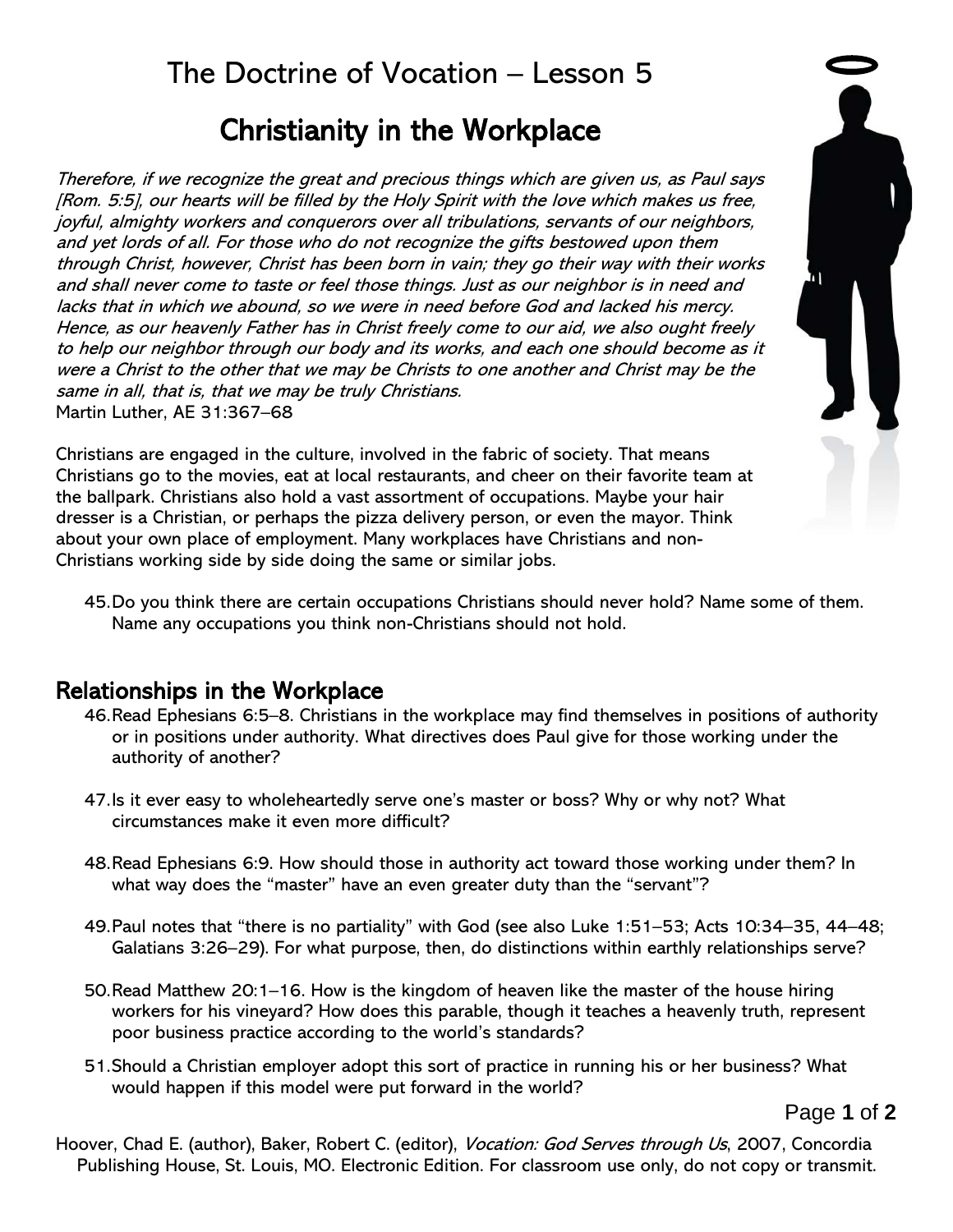## The Doctrine of Vocation – Lesson 5

# Christianity in the Workplace

Therefore, if we recognize the great and precious things which are given us, as Paul says [Rom. 5:5], our hearts will be filled by the Holy Spirit with the love which makes us free, joyful, almighty workers and conquerors over all tribulations, servants of our neighbors, and yet lords of all. For those who do not recognize the gifts bestowed upon them through Christ, however, Christ has been born in vain; they go their way with their works and shall never come to taste or feel those things. Just as our neighbor is in need and lacks that in which we abound, so we were in need before God and lacked his mercy. Hence, as our heavenly Father has in Christ freely come to our aid, we also ought freely to help our neighbor through our body and its works, and each one should become as it were a Christ to the other that we may be Christs to one another and Christ may be the same in all, that is, that we may be truly Christians. Martin Luther, AE 31:367–68

Christians are engaged in the culture, involved in the fabric of society. That means Christians go to the movies, eat at local restaurants, and cheer on their favorite team at the ballpark. Christians also hold a vast assortment of occupations. Maybe your hair dresser is a Christian, or perhaps the pizza delivery person, or even the mayor. Think about your own place of employment. Many workplaces have Christians and non-Christians working side by side doing the same or similar jobs.



45.Do you think there are certain occupations Christians should never hold? Name some of them. Name any occupations you think non-Christians should not hold.

### Relationships in the Workplace

- 46.Read Ephesians 6:5–8. Christians in the workplace may find themselves in positions of authority or in positions under authority. What directives does Paul give for those working under the authority of another?
- 47.Is it ever easy to wholeheartedly serve one's master or boss? Why or why not? What circumstances make it even more difficult?
- 48.Read Ephesians 6:9. How should those in authority act toward those working under them? In what way does the "master" have an even greater duty than the "servant"?
- 49.Paul notes that "there is no partiality" with God (see also Luke 1:51–53; Acts 10:34–35, 44–48; Galatians 3:26–29). For what purpose, then, do distinctions within earthly relationships serve?
- 50.Read Matthew 20:1–16. How is the kingdom of heaven like the master of the house hiring workers for his vineyard? How does this parable, though it teaches a heavenly truth, represent poor business practice according to the world's standards?
- 51.Should a Christian employer adopt this sort of practice in running his or her business? What would happen if this model were put forward in the world?

Page **1** of **2**

Hoover, Chad E. (author), Baker, Robert C. (editor), *Vocation: God Serves through Us*, 2007, Concordia Publishing House, St. Louis, MO. Electronic Edition. For classroom use only, do not copy or transmit.